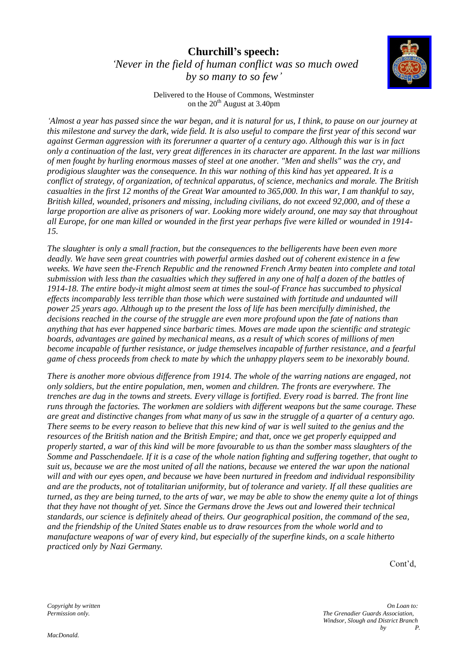**Churchill's speech:** *'Never in the field of human conflict was so much owed by so many to so few'*

## Delivered to the House of Commons, Westminster on the  $20^{th}$  August at 3.40pm

*'Almost a year has passed since the war began, and it is natural for us, I think, to pause on our journey at this milestone and survey the dark, wide field. It is also useful to compare the first year of this second war against German aggression with its forerunner a quarter of a century ago. Although this war is in fact only a continuation of the last, very great differences in its character are apparent. In the last war millions of men fought by hurling enormous masses of steel at one another. "Men and shells" was the cry, and prodigious slaughter was the consequence. In this war nothing of this kind has yet appeared. It is a conflict of strategy, of organization, of technical apparatus, of science, mechanics and morale. The British casualties in the first 12 months of the Great War amounted to 365,000. In this war, I am thankful to say, British killed, wounded, prisoners and missing, including civilians, do not exceed 92,000, and of these a large proportion are alive as prisoners of war. Looking more widely around, one may say that throughout all Europe, for one man killed or wounded in the first year perhaps five were killed or wounded in 1914- 15.*

*The slaughter is only a small fraction, but the consequences to the belligerents have been even more deadly. We have seen great countries with powerful armies dashed out of coherent existence in a few weeks. We have seen the-French Republic and the renowned French Army beaten into complete and total submission with less than the casualties which they suffered in any one of half a dozen of the battles of 1914-18. The entire body-it might almost seem at times the soul-of France has succumbed to physical effects incomparably less terrible than those which were sustained with fortitude and undaunted will power 25 years ago. Although up to the present the loss of life has been mercifully diminished, the decisions reached in the course of the struggle are even more profound upon the fate of nations than anything that has ever happened since barbaric times. Moves are made upon the scientific and strategic boards, advantages are gained by mechanical means, as a result of which scores of millions of men become incapable of further resistance, or judge themselves incapable of further resistance, and a fearful game of chess proceeds from check to mate by which the unhappy players seem to be inexorably bound.*

*There is another more obvious difference from 1914. The whole of the warring nations are engaged, not only soldiers, but the entire population, men, women and children. The fronts are everywhere. The trenches are dug in the towns and streets. Every village is fortified. Every road is barred. The front line runs through the factories. The workmen are soldiers with different weapons but the same courage. These are great and distinctive changes from what many of us saw in the struggle of a quarter of a century ago. There seems to be every reason to believe that this new kind of war is well suited to the genius and the resources of the British nation and the British Empire; and that, once we get properly equipped and properly started, a war of this kind will be more favourable to us than the somber mass slaughters of the Somme and Passchendaele. If it is a case of the whole nation fighting and suffering together, that ought to suit us, because we are the most united of all the nations, because we entered the war upon the national will and with our eyes open, and because we have been nurtured in freedom and individual responsibility and are the products, not of totalitarian uniformity, but of tolerance and variety. If all these qualities are turned, as they are being turned, to the arts of war, we may be able to show the enemy quite a lot of things that they have not thought of yet. Since the Germans drove the Jews out and lowered their technical standards, our science is definitely ahead of theirs. Our geographical position, the command of the sea, and the friendship of the United States enable us to draw resources from the whole world and to manufacture weapons of war of every kind, but especially of the superfine kinds, on a scale hitherto practiced only by Nazi Germany.*

Cont'd,

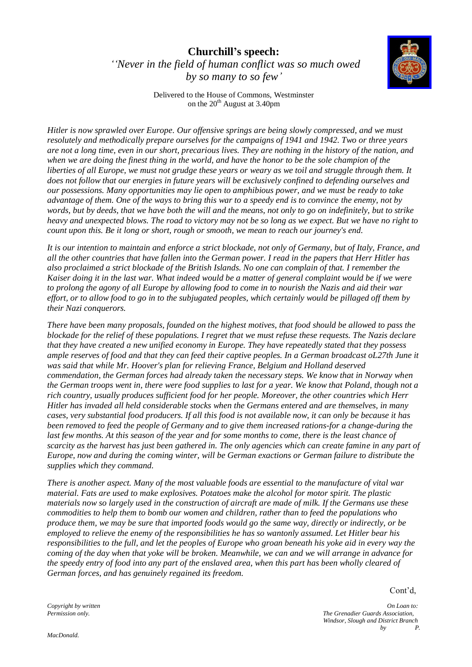**Churchill's speech:**



Delivered to the House of Commons, Westminster on the  $20^{th}$  August at 3.40pm

*Hitler is now sprawled over Europe. Our offensive springs are being slowly compressed, and we must resolutely and methodically prepare ourselves for the campaigns of 1941 and 1942. Two or three years are not a long time, even in our short, precarious lives. They are nothing in the history of the nation, and when we are doing the finest thing in the world, and have the honor to be the sole champion of the liberties of all Europe, we must not grudge these years or weary as we toil and struggle through them. It does not follow that our energies in future years will be exclusively confined to defending ourselves and our possessions. Many opportunities may lie open to amphibious power, and we must be ready to take advantage of them. One of the ways to bring this war to a speedy end is to convince the enemy, not by words, but by deeds, that we have both the will and the means, not only to go on indefinitely, but to strike heavy and unexpected blows. The road to victory may not be so long as we expect. But we have no right to count upon this. Be it long or short, rough or smooth, we mean to reach our journey's end.*

*It is our intention to maintain and enforce a strict blockade, not only of Germany, but of Italy, France, and all the other countries that have fallen into the German power. I read in the papers that Herr Hitler has also proclaimed a strict blockade of the British Islands. No one can complain of that. I remember the Kaiser doing it in the last war. What indeed would be a matter of general complaint would be if we were to prolong the agony of all Europe by allowing food to come in to nourish the Nazis and aid their war effort, or to allow food to go in to the subjugated peoples, which certainly would be pillaged off them by their Nazi conquerors.*

*There have been many proposals, founded on the highest motives, that food should be allowed to pass the blockade for the relief of these populations. I regret that we must refuse these requests. The Nazis declare that they have created a new unified economy in Europe. They have repeatedly stated that they possess ample reserves of food and that they can feed their captive peoples. In a German broadcast oL27th June it was said that while Mr. Hoover's plan for relieving France, Belgium and Holland deserved commendation, the German forces had already taken the necessary steps. We know that in Norway when the German troops went in, there were food supplies to last for a year. We know that Poland, though not a rich country, usually produces sufficient food for her people. Moreover, the other countries which Herr Hitler has invaded all held considerable stocks when the Germans entered and are themselves, in many cases, very substantial food producers. If all this food is not available now, it can only be because it has been removed to feed the people of Germany and to give them increased rations-for a change-during the*  last few months. At this season of the year and for some months to come, there is the least chance of *scarcity as the harvest has just been gathered in. The only agencies which can create famine in any part of Europe, now and during the coming winter, will be German exactions or German failure to distribute the supplies which they command.*

*There is another aspect. Many of the most valuable foods are essential to the manufacture of vital war material. Fats are used to make explosives. Potatoes make the alcohol for motor spirit. The plastic materials now so largely used in the construction of aircraft are made of milk. If the Germans use these commodities to help them to bomb our women and children, rather than to feed the populations who produce them, we may be sure that imported foods would go the same way, directly or indirectly, or be employed to relieve the enemy of the responsibilities he has so wantonly assumed. Let Hitler bear his responsibilities to the full, and let the peoples of Europe who groan beneath his yoke aid in every way the coming of the day when that yoke will be broken. Meanwhile, we can and we will arrange in advance for the speedy entry of food into any part of the enslaved area, when this part has been wholly cleared of German forces, and has genuinely regained its freedom.* 

Cont'd,

*Copyright by written*  $\overline{On}$  *Loan to: Permission only. The Grenadier Guards Association, Windsor, Slough and District Branch by P.*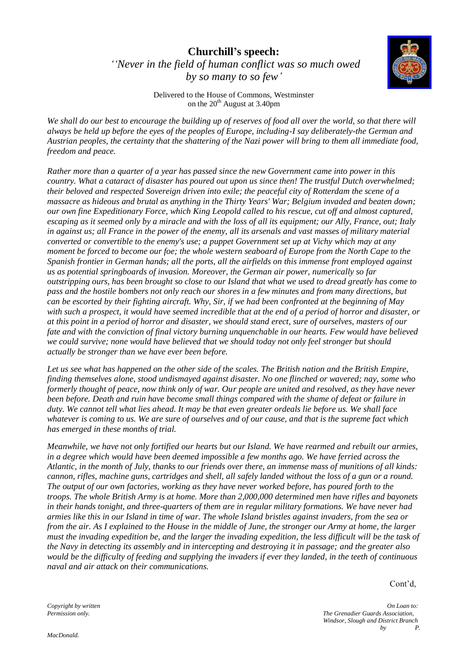

Delivered to the House of Commons, Westminster on the  $20^{th}$  August at 3.40pm

*We shall do our best to encourage the building up of reserves of food all over the world, so that there will always be held up before the eyes of the peoples of Europe, including-I say deliberately-the German and Austrian peoples, the certainty that the shattering of the Nazi power will bring to them all immediate food, freedom and peace.*

*Rather more than a quarter of a year has passed since the new Government came into power in this country. What a cataract of disaster has poured out upon us since then! The trustful Dutch overwhelmed; their beloved and respected Sovereign driven into exile; the peaceful city of Rotterdam the scene of a massacre as hideous and brutal as anything in the Thirty Years' War; Belgium invaded and beaten down; our own fine Expeditionary Force, which King Leopold called to his rescue, cut off and almost captured, escaping as it seemed only by a miracle and with the loss of all its equipment; our Ally, France, out; Italy in against us; all France in the power of the enemy, all its arsenals and vast masses of military material converted or convertible to the enemy's use; a puppet Government set up at Vichy which may at any moment be forced to become our foe; the whole western seaboard of Europe from the North Cape to the Spanish frontier in German hands; all the ports, all the airfields on this immense front employed against us as potential springboards of invasion. Moreover, the German air power, numerically so far outstripping ours, has been brought so close to our Island that what we used to dread greatly has come to pass and the hostile bombers not only reach our shores in a few minutes and from many directions, but can be escorted by their fighting aircraft. Why, Sir, if we had been confronted at the beginning of May with such a prospect, it would have seemed incredible that at the end of a period of horror and disaster, or at this point in a period of horror and disaster, we should stand erect, sure of ourselves, masters of our fate and with the conviction of final victory burning unquenchable in our hearts. Few would have believed we could survive; none would have believed that we should today not only feel stronger but should actually be stronger than we have ever been before.*

*Let us see what has happened on the other side of the scales. The British nation and the British Empire, finding themselves alone, stood undismayed against disaster. No one flinched or wavered; nay, some who formerly thought of peace, now think only of war. Our people are united and resolved, as they have never been before. Death and ruin have become small things compared with the shame of defeat or failure in duty. We cannot tell what lies ahead. It may be that even greater ordeals lie before us. We shall face whatever is coming to us. We are sure of ourselves and of our cause, and that is the supreme fact which has emerged in these months of trial.*

*Meanwhile, we have not only fortified our hearts but our Island. We have rearmed and rebuilt our armies, in a degree which would have been deemed impossible a few months ago. We have ferried across the Atlantic, in the month of July, thanks to our friends over there, an immense mass of munitions of all kinds: cannon, rifles, machine guns, cartridges and shell, all safely landed without the loss of a gun or a round. The output of our own factories, working as they have never worked before, has poured forth to the troops. The whole British Army is at home. More than 2,000,000 determined men have rifles and bayonets in their hands tonight, and three-quarters of them are in regular military formations. We have never had armies like this in our Island in time of war. The whole Island bristles against invaders, from the sea or from the air. As I explained to the House in the middle of June, the stronger our Army at home, the larger must the invading expedition be, and the larger the invading expedition, the less difficult will be the task of the Navy in detecting its assembly and in intercepting and destroying it in passage; and the greater also would be the difficulty of feeding and supplying the invaders if ever they landed, in the teeth of continuous naval and air attack on their communications.* 

Cont'd,

*Copyright by written*  $\overline{On}$  *Loan to: Permission only. The Grenadier Guards Association, Windsor, Slough and District Branch by P.*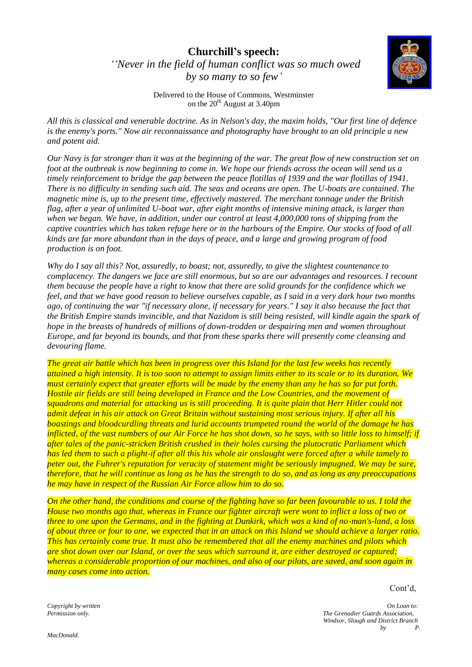

Delivered to the House of Commons, Westminster on the  $20^{th}$  August at 3.40pm

*All this is classical and venerable doctrine. As in Nelson's day, the maxim holds, "Our first line of defence is the enemy's ports." Now air reconnaissance and photography have brought to an old principle a new and potent aid.*

*Our Navy is far stronger than it was at the beginning of the war. The great flow of new construction set on foot at the outbreak is now beginning to come in. We hope our friends across the ocean will send us a timely reinforcement to bridge the gap between the peace flotillas of 1939 and the war flotillas of 1941. There is no difficulty in sending such aid. The seas and oceans are open. The U-boats are contained. The magnetic mine is, up to the present time, effectively mastered. The merchant tonnage under the British flag, after a year of unlimited U-boat war, after eight months of intensive mining attack, is larger than when we began. We have, in addition, under our control at least 4,000,000 tons of shipping from the captive countries which has taken refuge here or in the harbours of the Empire. Our stocks of food of all kinds are far more abundant than in the days of peace, and a large and growing program of food production is on foot.*

*Why do I say all this? Not, assuredly, to boast; not, assuredly, to give the slightest countenance to complacency. The dangers we face are still enormous, but so are our advantages and resources. I recount them because the people have a right to know that there are solid grounds for the confidence which we feel, and that we have good reason to believe ourselves capable, as I said in a very dark hour two months ago, of continuing the war "if necessary alone, if necessary for years." I say it also because the fact that the British Empire stands invincible, and that Nazidom is still being resisted, will kindle again the spark of hope in the breasts of hundreds of millions of down-trodden or despairing men and women throughout Europe, and far beyond its bounds, and that from these sparks there will presently come cleansing and devouring flame.*

*The great air battle which has been in progress over this Island for the last few weeks has recently attained a high intensity. It is too soon to attempt to assign limits either to its scale or to its duration. We must certainly expect that greater efforts will be made by the enemy than any he has so far put forth. Hostile air fields are still being developed in France and the Low Countries, and the movement of squadrons and material for attacking us is still proceeding. It is quite plain that Herr Hitler could not admit defeat in his air attack on Great Britain without sustaining most serious injury. If after all his boastings and bloodcurdling threats and lurid accounts trumpeted round the world of the damage he has inflicted, of the vast numbers of our Air Force he has shot down, so he says, with so little loss to himself; if after tales of the panic-stricken British crushed in their holes cursing the plutocratic Parliament which has led them to such a plight-if after all this his whole air onslaught were forced after a while tamely to peter out, the Fuhrer's reputation for veracity of statement might be seriously impugned. We may be sure, therefore, that he will continue as long as he has the strength to do so, and as long as any preoccupations he may have in respect of the Russian Air Force allow him to do so.*

*On the other hand, the conditions and course of the fighting have so far been favourable to us. I told the House two months ago that, whereas in France our fighter aircraft were wont to inflict a loss of two or three to one upon the Germans, and in the fighting at Dunkirk, which was a kind of no-man's-land, a loss of about three or four to one, we expected that in an attack on this Island we should achieve a larger ratio. This has certainly come true. It must also be remembered that all the enemy machines and pilots which are shot down over our Island, or over the seas which surround it, are either destroyed or captured; whereas a considerable proportion of our machines, and also of our pilots, are saved, and soon again in many cases come into action.*

Cont'd,

*Copyright by written On Loan to:*<br> *Copyright by written On Loan to:*<br> *Permission only.*<br> *Copyright by written Cuards Association*,  $The$  *Grenadier Guards Association, Windsor, Slough and District Branch by P.*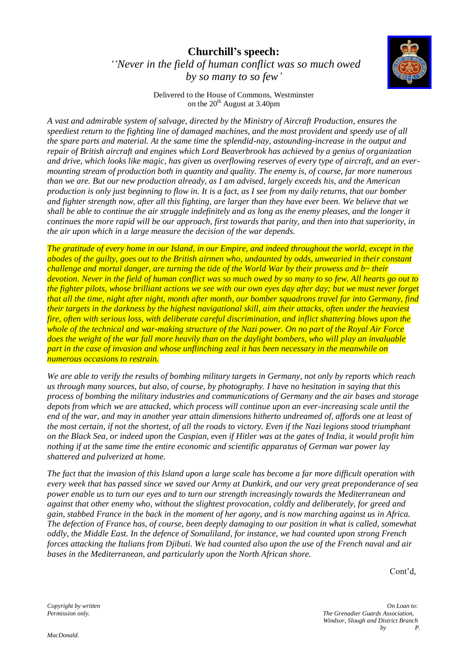## **Churchill's speech:**

*''Never in the field of human conflict was so much owed by so many to so few'*

> Delivered to the House of Commons, Westminster on the  $20^{th}$  August at 3.40pm

*A vast and admirable system of salvage, directed by the Ministry of Aircraft Production, ensures the speediest return to the fighting line of damaged machines, and the most provident and speedy use of all the spare parts and material. At the same time the splendid-nay, astounding-increase in the output and repair of British aircraft and engines which Lord Beaverbrook has achieved by a genius of organization and drive, which looks like magic, has given us overflowing reserves of every type of aircraft, and an evermounting stream of production both in quantity and quality. The enemy is, of course, far more numerous than we are. But our new production already, as I am advised, largely exceeds his, and the American production is only just beginning to flow in. It is a fact, as I see from my daily returns, that our bomber and fighter strength now, after all this fighting, are larger than they have ever been. We believe that we shall be able to continue the air struggle indefinitely and as long as the enemy pleases, and the longer it continues the more rapid will be our approach, first towards that parity, and then into that superiority, in the air upon which in a large measure the decision of the war depends.*

*The gratitude of every home in our Island, in our Empire, and indeed throughout the world, except in the abodes of the guilty, goes out to the British airmen who, undaunted by odds, unwearied in their constant challenge and mortal danger, are turning the tide of the World War by their prowess and b~ their devotion. Never in the field of human conflict was so much owed by so many to so few. All hearts go out to the fighter pilots, whose brilliant actions we see with our own eyes day after day; but we must never forget that all the time, night after night, month after month, our bomber squadrons travel far into Germany, find their targets in the darkness by the highest navigational skill, aim their attacks, often under the heaviest fire, often with serious loss, with deliberate careful discrimination, and inflict shattering blows upon the whole of the technical and war-making structure of the Nazi power. On no part of the Royal Air Force does the weight of the war fall more heavily than on the daylight bombers, who will play an invaluable part in the case of invasion and whose unflinching zeal it has been necessary in the meanwhile on numerous occasions to restrain.*

*We are able to verify the results of bombing military targets in Germany, not only by reports which reach us through many sources, but also, of course, by photography. I have no hesitation in saying that this process of bombing the military industries and communications of Germany and the air bases and storage depots from which we are attacked, which process will continue upon an ever-increasing scale until the end of the war, and may in another year attain dimensions hitherto undreamed of, affords one at least of the most certain, if not the shortest, of all the roads to victory. Even if the Nazi legions stood triumphant on the Black Sea, or indeed upon the Caspian, even if Hitler was at the gates of India, it would profit him nothing if at the same time the entire economic and scientific apparatus of German war power lay shattered and pulverized at home.*

*The fact that the invasion of this Island upon a large scale has become a far more difficult operation with every week that has passed since we saved our Army at Dunkirk, and our very great preponderance of sea power enable us to turn our eyes and to turn our strength increasingly towards the Mediterranean and against that other enemy who, without the slightest provocation, coldly and deliberately, for greed and gain, stabbed France in the back in the moment of her agony, and is now marching against us in Africa. The defection of France has, of course, been deeply damaging to our position in what is called, somewhat oddly, the Middle East. In the defence of Somaliland, for instance, we had counted upon strong French forces attacking the Italians from Djibuti. We had counted also upon the use of the French naval and air bases in the Mediterranean, and particularly upon the North African shore.* 

Cont'd,

*Copyright by written*  $\overline{On}$  *Loan to:* 

*MacDonald.*



 *Windsor, Slough and District Branch*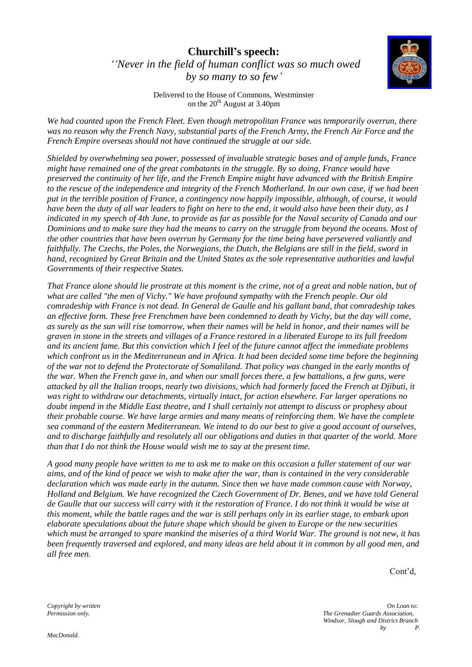**Churchill's speech:** *''Never in the field of human conflict was so much owed by so many to so few'*

> Delivered to the House of Commons, Westminster on the  $20^{th}$  August at 3.40pm

*We had counted upon the French Fleet. Even though metropolitan France was temporarily overrun, there was no reason why the French Navy, substantial parts of the French Army, the French Air Force and the French Empire overseas should not have continued the struggle at our side.*

*Shielded by overwhelming sea power, possessed of invaluable strategic bases and of ample funds, France might have remained one of the great combatants in the struggle. By so doing, France would have preserved the continuity of her life, and the French Empire might have advanced with the British Empire to the rescue of the independence and integrity of the French Motherland. In our own case, if we had been put in the terrible position of France, a contingency now happily impossible, although, of course, it would have been the duty of all war leaders to fight on here to the end, it would also have been their duty, as I indicated in my speech of 4th June, to provide as far as possible for the Naval security of Canada and our Dominions and to make sure they had the means to carry on the struggle from beyond the oceans. Most of the other countries that have been overrun by Germany for the time being have persevered valiantly and faithfully. The Czechs, the Poles, the Norwegians, the Dutch, the Belgians are still in the field, sword in hand, recognized by Great Britain and the United States as the sole representative authorities and lawful Governments of their respective States.*

*That France alone should lie prostrate at this moment is the crime, not of a great and noble nation, but of what are called "the men of Vichy." We have profound sympathy with the French people. Our old comradeship with France is not dead. In General de Gaulle and his gallant band, that comradeship takes an effective form. These free Frenchmen have been condemned to death by Vichy, but the day will come, as surely as the sun will rise tomorrow, when their names will be held in honor, and their names will be graven in stone in the streets and villages of a France restored in a liberated Europe to its full freedom and its ancient fame. But this conviction which I feel of the future cannot affect the immediate problems which confront us in the Mediterranean and in Africa. It had been decided some time before the beginning of the war not to defend the Protectorate of Somaliland. That policy was changed in the early months of the war. When the French gave in, and when our small forces there, a few battalions, a few guns, were attacked by all the Italian troops, nearly two divisions, which had formerly faced the French at Djibuti, it was right to withdraw our detachments, virtually intact, for action elsewhere. Far larger operations no doubt impend in the Middle East theatre, and I shall certainly not attempt to discuss or prophesy about their probable course. We have large armies and many means of reinforcing them. We have the complete sea command of the eastern Mediterranean. We intend to do our best to give a good account of ourselves, and to discharge faithfully and resolutely all our obligations and duties in that quarter of the world. More than that I do not think the House would wish me to say at the present time.*

*A good many people have written to me to ask me to make on this occasion a fuller statement of our war aims, and of the kind of peace we wish to make after the war, than is contained in the very considerable declaration which was made early in the autumn. Since then we have made common cause with Norway, Holland and Belgium. We have recognized the Czech Government of Dr. Benes, and we have told General de Gaulle that our success will carry with it the restoration of France. I do not think it would be wise at this moment, while the battle rages and the war is still perhaps only in its earlier stage, to embark upon elaborate speculations about the future shape which should be given to Europe or the new securities which must be arranged to spare mankind the miseries of a third World War. The ground is not new, it has been frequently traversed and explored, and many ideas are held about it in common by all good men, and all free men.* 

Cont'd,